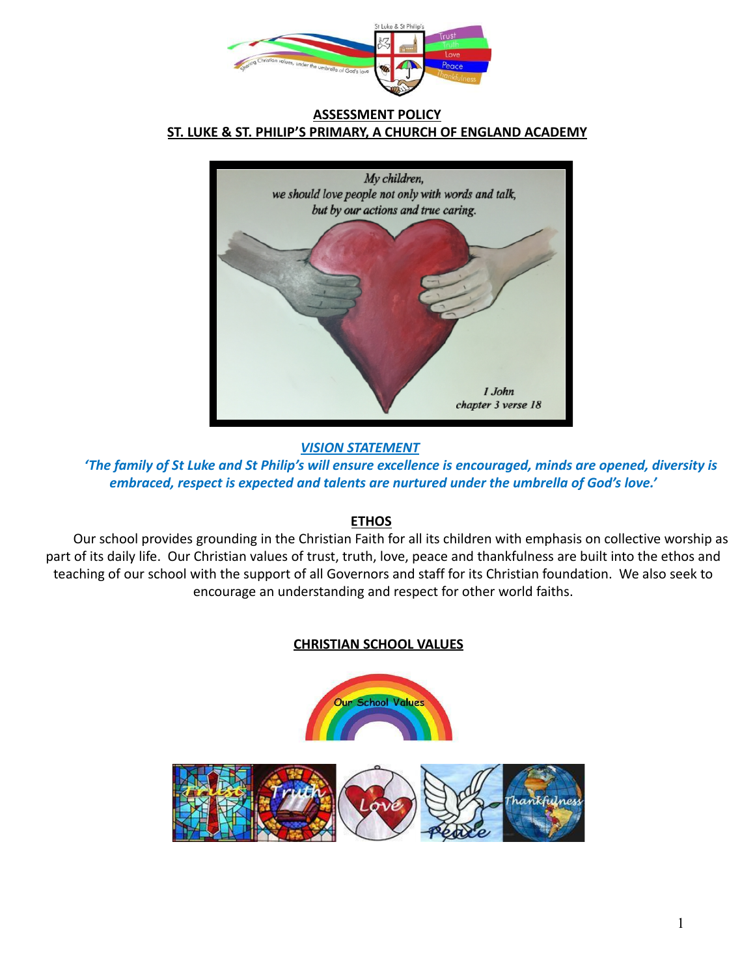

## **ASSESSMENT POLICY ST. LUKE & ST. PHILIP'S PRIMARY, A CHURCH OF ENGLAND ACADEMY**



*VISION STATEMENT*

*'The family of St Luke and St Philip's will ensure excellence is encouraged, minds are opened, diversity is embraced, respect is expected and talents are nurtured under the umbrella of God's love.'*

# **ETHOS**

Our school provides grounding in the Christian Faith for all its children with emphasis on collective worship as part of its daily life. Our Christian values of trust, truth, love, peace and thankfulness are built into the ethos and teaching of our school with the support of all Governors and staff for its Christian foundation. We also seek to encourage an understanding and respect for other world faiths.

# **CHRISTIAN SCHOOL VALUES**

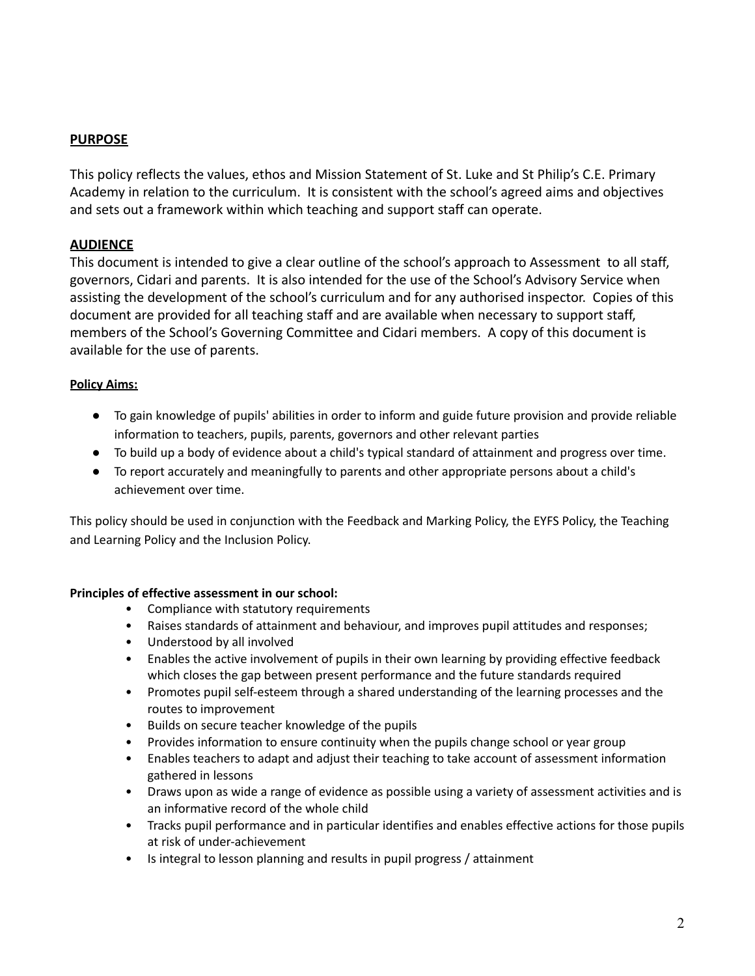# **PURPOSE**

This policy reflects the values, ethos and Mission Statement of St. Luke and St Philip's C.E. Primary Academy in relation to the curriculum. It is consistent with the school's agreed aims and objectives and sets out a framework within which teaching and support staff can operate.

## **AUDIENCE**

This document is intended to give a clear outline of the school's approach to Assessment to all staff, governors, Cidari and parents. It is also intended for the use of the School's Advisory Service when assisting the development of the school's curriculum and for any authorised inspector. Copies of this document are provided for all teaching staff and are available when necessary to support staff, members of the School's Governing Committee and Cidari members. A copy of this document is available for the use of parents.

## **Policy Aims:**

- **●** To gain knowledge of pupils' abilities in order to inform and guide future provision and provide reliable information to teachers, pupils, parents, governors and other relevant parties
- **●** To build up a body of evidence about a child's typical standard of attainment and progress over time.
- **●** To report accurately and meaningfully to parents and other appropriate persons about a child's achievement over time.

This policy should be used in conjunction with the Feedback and Marking Policy, the EYFS Policy, the Teaching and Learning Policy and the Inclusion Policy.

### **Principles of effective assessment in our school:**

- Compliance with statutory requirements
- Raises standards of attainment and behaviour, and improves pupil attitudes and responses;
- Understood by all involved
- Enables the active involvement of pupils in their own learning by providing effective feedback which closes the gap between present performance and the future standards required
- Promotes pupil self-esteem through a shared understanding of the learning processes and the routes to improvement
- Builds on secure teacher knowledge of the pupils
- Provides information to ensure continuity when the pupils change school or year group
- Enables teachers to adapt and adjust their teaching to take account of assessment information gathered in lessons
- Draws upon as wide a range of evidence as possible using a variety of assessment activities and is an informative record of the whole child
- Tracks pupil performance and in particular identifies and enables effective actions for those pupils at risk of under-achievement
- Is integral to lesson planning and results in pupil progress / attainment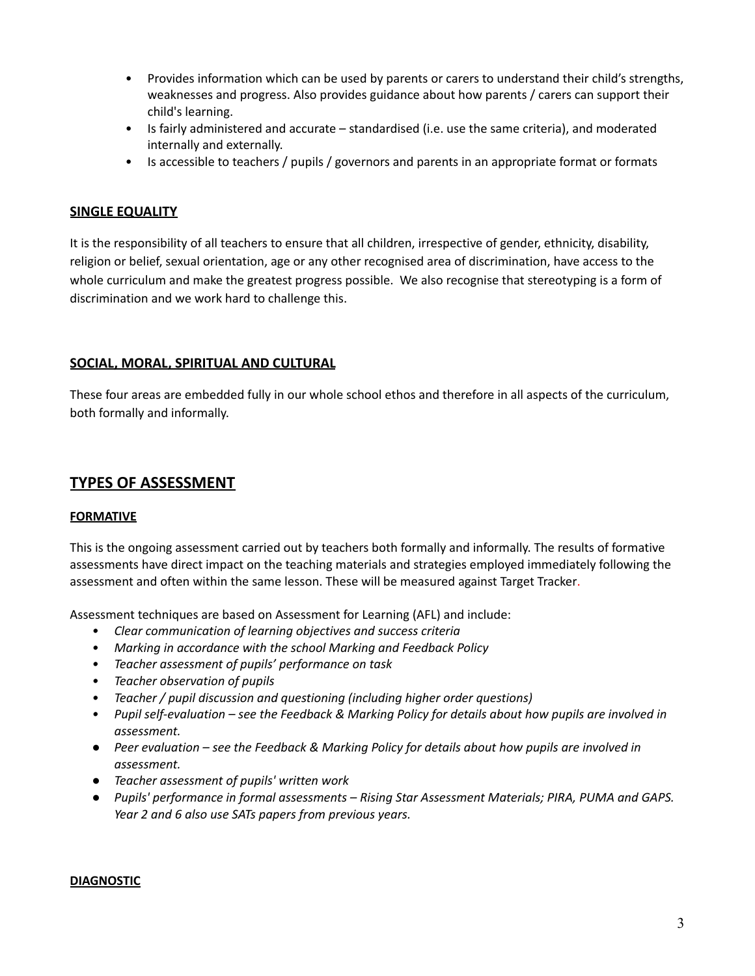- Provides information which can be used by parents or carers to understand their child's strengths, weaknesses and progress. Also provides guidance about how parents / carers can support their child's learning.
- Is fairly administered and accurate standardised (i.e. use the same criteria), and moderated internally and externally.
- Is accessible to teachers / pupils / governors and parents in an appropriate format or formats

## **SINGLE EQUALITY**

It is the responsibility of all teachers to ensure that all children, irrespective of gender, ethnicity, disability, religion or belief, sexual orientation, age or any other recognised area of discrimination, have access to the whole curriculum and make the greatest progress possible. We also recognise that stereotyping is a form of discrimination and we work hard to challenge this.

### **SOCIAL, MORAL, SPIRITUAL AND CULTURAL**

These four areas are embedded fully in our whole school ethos and therefore in all aspects of the curriculum, both formally and informally.

# **TYPES OF ASSESSMENT**

### **FORMATIVE**

This is the ongoing assessment carried out by teachers both formally and informally. The results of formative assessments have direct impact on the teaching materials and strategies employed immediately following the assessment and often within the same lesson. These will be measured against Target Tracker.

Assessment techniques are based on Assessment for Learning (AFL) and include:

- *• Clear communication of learning objectives and success criteria*
- *• Marking in accordance with the school Marking and Feedback Policy*
- *• Teacher assessment of pupils' performance on task*
- *• Teacher observation of pupils*
- *• Teacher / pupil discussion and questioning (including higher order questions)*
- Pupil self-evaluation see the Feedback & Marking Policy for details about how pupils are involved in *assessment.*
- *● Peer evaluation – see the Feedback & Marking Policy for details about how pupils are involved in assessment.*
- *● Teacher assessment of pupils' written work*
- *● Pupils' performance in formal assessments – Rising Star Assessment Materials; PIRA, PUMA and GAPS. Year 2 and 6 also use SATs papers from previous years.*

#### **DIAGNOSTIC**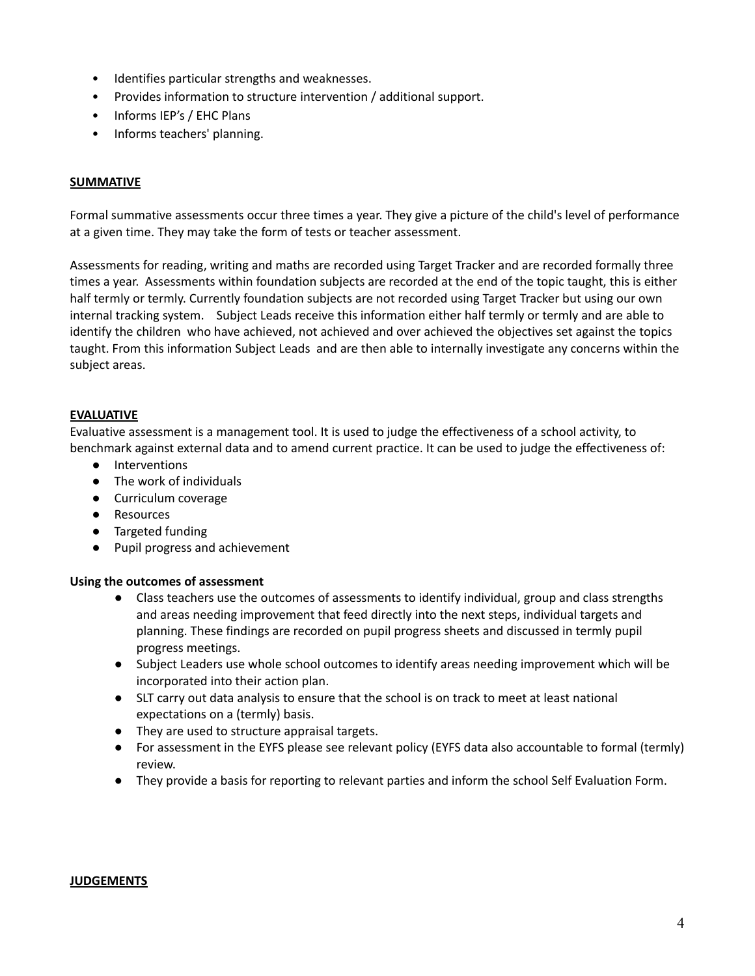- Identifies particular strengths and weaknesses.
- Provides information to structure intervention / additional support.
- Informs IEP's / EHC Plans
- Informs teachers' planning.

### **SUMMATIVE**

Formal summative assessments occur three times a year. They give a picture of the child's level of performance at a given time. They may take the form of tests or teacher assessment.

Assessments for reading, writing and maths are recorded using Target Tracker and are recorded formally three times a year. Assessments within foundation subjects are recorded at the end of the topic taught, this is either half termly or termly. Currently foundation subjects are not recorded using Target Tracker but using our own internal tracking system. Subject Leads receive this information either half termly or termly and are able to identify the children who have achieved, not achieved and over achieved the objectives set against the topics taught. From this information Subject Leads and are then able to internally investigate any concerns within the subject areas.

### **EVALUATIVE**

Evaluative assessment is a management tool. It is used to judge the effectiveness of a school activity, to benchmark against external data and to amend current practice. It can be used to judge the effectiveness of:

- Interventions
- The work of individuals
- Curriculum coverage
- Resources
- Targeted funding
- Pupil progress and achievement

#### **Using the outcomes of assessment**

- Class teachers use the outcomes of assessments to identify individual, group and class strengths and areas needing improvement that feed directly into the next steps, individual targets and planning. These findings are recorded on pupil progress sheets and discussed in termly pupil progress meetings.
- Subject Leaders use whole school outcomes to identify areas needing improvement which will be incorporated into their action plan.
- SLT carry out data analysis to ensure that the school is on track to meet at least national expectations on a (termly) basis.
- They are used to structure appraisal targets.
- For assessment in the EYFS please see relevant policy (EYFS data also accountable to formal (termly) review.
- They provide a basis for reporting to relevant parties and inform the school Self Evaluation Form.

#### **JUDGEMENTS**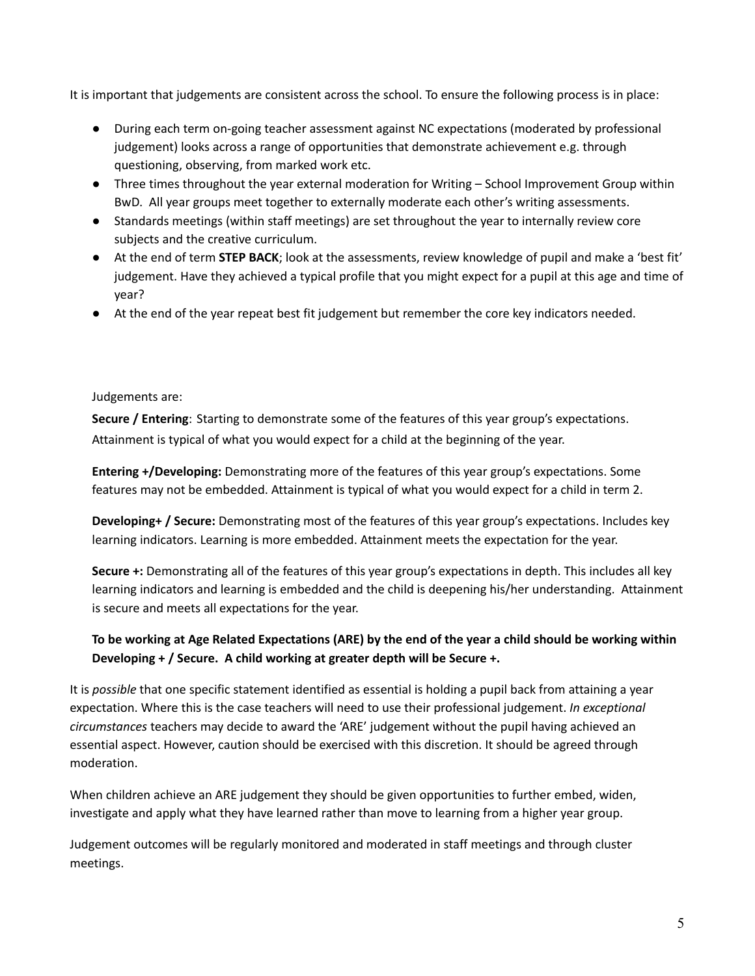It is important that judgements are consistent across the school. To ensure the following process is in place:

- During each term on-going teacher assessment against NC expectations (moderated by professional judgement) looks across a range of opportunities that demonstrate achievement e.g. through questioning, observing, from marked work etc.
- Three times throughout the year external moderation for Writing School Improvement Group within BwD. All year groups meet together to externally moderate each other's writing assessments.
- Standards meetings (within staff meetings) are set throughout the year to internally review core subjects and the creative curriculum.
- At the end of term **STEP BACK**; look at the assessments, review knowledge of pupil and make a 'best fit' judgement. Have they achieved a typical profile that you might expect for a pupil at this age and time of year?
- At the end of the year repeat best fit judgement but remember the core key indicators needed.

### Judgements are:

**Secure / Entering**: Starting to demonstrate some of the features of this year group's expectations. Attainment is typical of what you would expect for a child at the beginning of the year.

**Entering +/Developing:** Demonstrating more of the features of this year group's expectations. Some features may not be embedded. Attainment is typical of what you would expect for a child in term 2.

**Developing+ / Secure:** Demonstrating most of the features of this year group's expectations. Includes key learning indicators. Learning is more embedded. Attainment meets the expectation for the year.

**Secure +:** Demonstrating all of the features of this year group's expectations in depth. This includes all key learning indicators and learning is embedded and the child is deepening his/her understanding. Attainment is secure and meets all expectations for the year.

# To be working at Age Related Expectations (ARE) by the end of the year a child should be working within **Developing + / Secure. A child working at greater depth will be Secure +.**

It is *possible* that one specific statement identified as essential is holding a pupil back from attaining a year expectation. Where this is the case teachers will need to use their professional judgement. *In exceptional circumstances* teachers may decide to award the 'ARE' judgement without the pupil having achieved an essential aspect. However, caution should be exercised with this discretion. It should be agreed through moderation.

When children achieve an ARE judgement they should be given opportunities to further embed, widen, investigate and apply what they have learned rather than move to learning from a higher year group.

Judgement outcomes will be regularly monitored and moderated in staff meetings and through cluster meetings.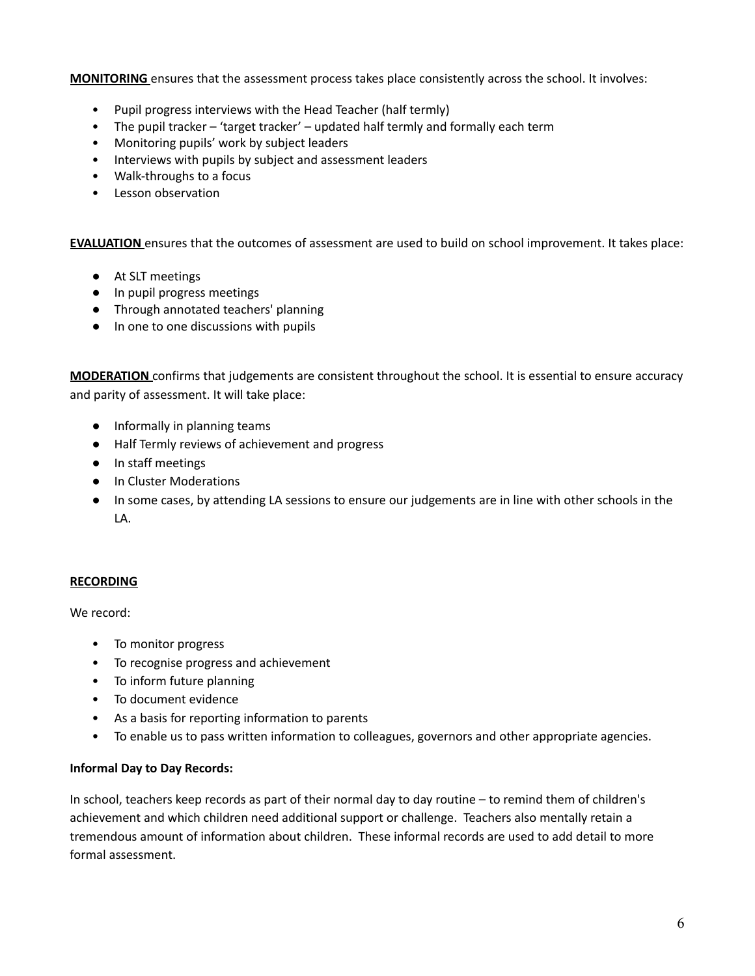**MONITORING** ensures that the assessment process takes place consistently across the school. It involves:

- Pupil progress interviews with the Head Teacher (half termly)
- The pupil tracker 'target tracker' updated half termly and formally each term
- Monitoring pupils' work by subject leaders
- Interviews with pupils by subject and assessment leaders
- Walk-throughs to a focus
- Lesson observation

**EVALUATION** ensures that the outcomes of assessment are used to build on school improvement. It takes place:

- At SLT meetings
- In pupil progress meetings
- Through annotated teachers' planning
- In one to one discussions with pupils

**MODERATION** confirms that judgements are consistent throughout the school. It is essential to ensure accuracy and parity of assessment. It will take place:

- Informally in planning teams
- Half Termly reviews of achievement and progress
- In staff meetings
- In Cluster Moderations
- In some cases, by attending LA sessions to ensure our judgements are in line with other schools in the LA.

### **RECORDING**

We record:

- To monitor progress
- To recognise progress and achievement
- To inform future planning
- To document evidence
- As a basis for reporting information to parents
- To enable us to pass written information to colleagues, governors and other appropriate agencies.

### **Informal Day to Day Records:**

In school, teachers keep records as part of their normal day to day routine – to remind them of children's achievement and which children need additional support or challenge. Teachers also mentally retain a tremendous amount of information about children. These informal records are used to add detail to more formal assessment.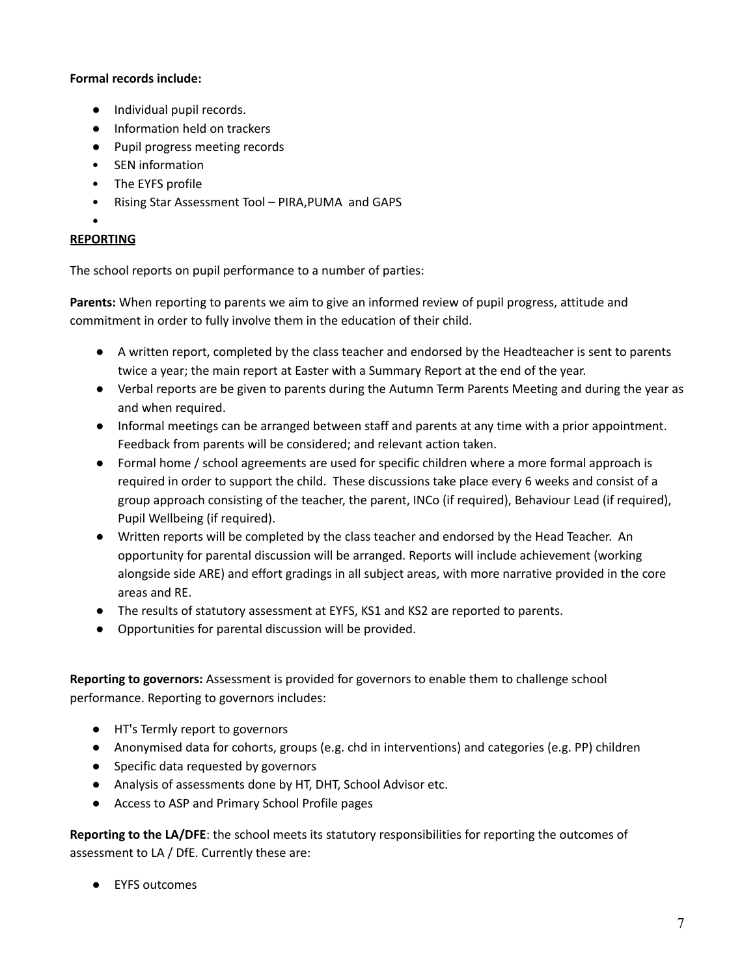## **Formal records include:**

- Individual pupil records.
- Information held on trackers
- Pupil progress meeting records
- SEN information
- The EYFS profile
- Rising Star Assessment Tool PIRA,PUMA and GAPS
- •

## **REPORTING**

The school reports on pupil performance to a number of parties:

**Parents:** When reporting to parents we aim to give an informed review of pupil progress, attitude and commitment in order to fully involve them in the education of their child.

- A written report, completed by the class teacher and endorsed by the Headteacher is sent to parents twice a year; the main report at Easter with a Summary Report at the end of the year.
- Verbal reports are be given to parents during the Autumn Term Parents Meeting and during the year as and when required.
- Informal meetings can be arranged between staff and parents at any time with a prior appointment. Feedback from parents will be considered; and relevant action taken.
- Formal home / school agreements are used for specific children where a more formal approach is required in order to support the child. These discussions take place every 6 weeks and consist of a group approach consisting of the teacher, the parent, INCo (if required), Behaviour Lead (if required), Pupil Wellbeing (if required).
- Written reports will be completed by the class teacher and endorsed by the Head Teacher. An opportunity for parental discussion will be arranged. Reports will include achievement (working alongside side ARE) and effort gradings in all subject areas, with more narrative provided in the core areas and RE.
- The results of statutory assessment at EYFS, KS1 and KS2 are reported to parents.
- Opportunities for parental discussion will be provided.

**Reporting to governors:** Assessment is provided for governors to enable them to challenge school performance. Reporting to governors includes:

- HT's Termly report to governors
- Anonymised data for cohorts, groups (e.g. chd in interventions) and categories (e.g. PP) children
- Specific data requested by governors
- Analysis of assessments done by HT, DHT, School Advisor etc.
- Access to ASP and Primary School Profile pages

**Reporting to the LA/DFE**: the school meets its statutory responsibilities for reporting the outcomes of assessment to LA / DfE. Currently these are:

● EYFS outcomes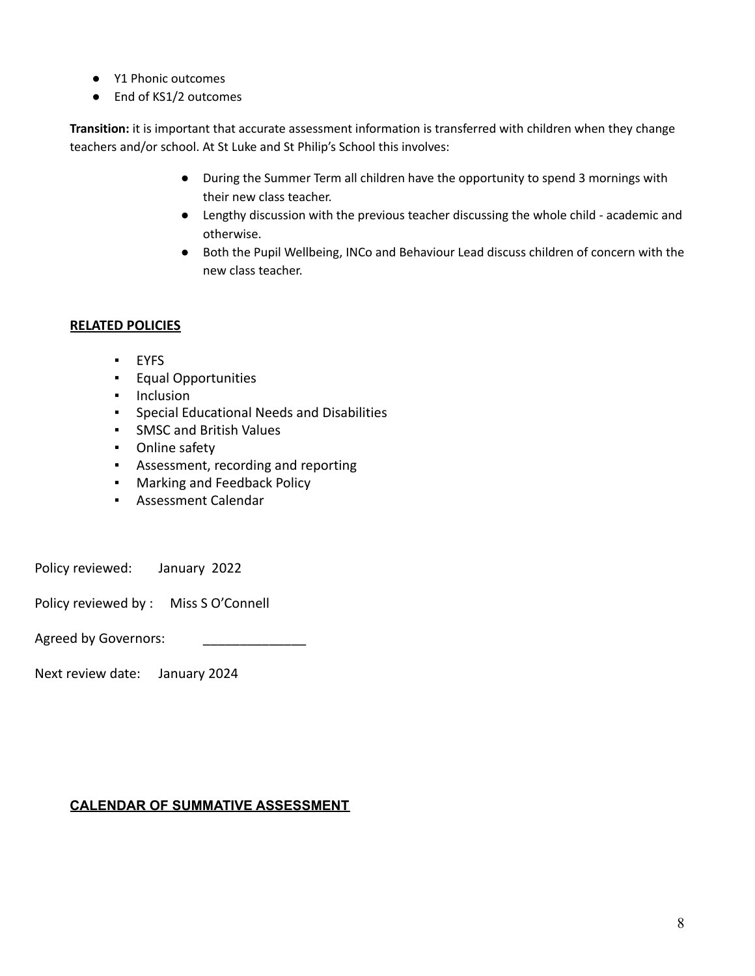- Y1 Phonic outcomes
- End of KS1/2 outcomes

**Transition:** it is important that accurate assessment information is transferred with children when they change teachers and/or school. At St Luke and St Philip's School this involves:

- During the Summer Term all children have the opportunity to spend 3 mornings with their new class teacher.
- Lengthy discussion with the previous teacher discussing the whole child academic and otherwise.
- Both the Pupil Wellbeing, INCo and Behaviour Lead discuss children of concern with the new class teacher.

# **RELATED POLICIES**

- EYFS
- Equal Opportunities
- Inclusion
- Special Educational Needs and Disabilities
- SMSC and British Values
- Online safety
- Assessment, recording and reporting
- Marking and Feedback Policy
- Assessment Calendar

Policy reviewed: January 2022

Policy reviewed by : Miss S O'Connell

Agreed by Governors:

Next review date: January 2024

# **CALENDAR OF SUMMATIVE ASSESSMENT**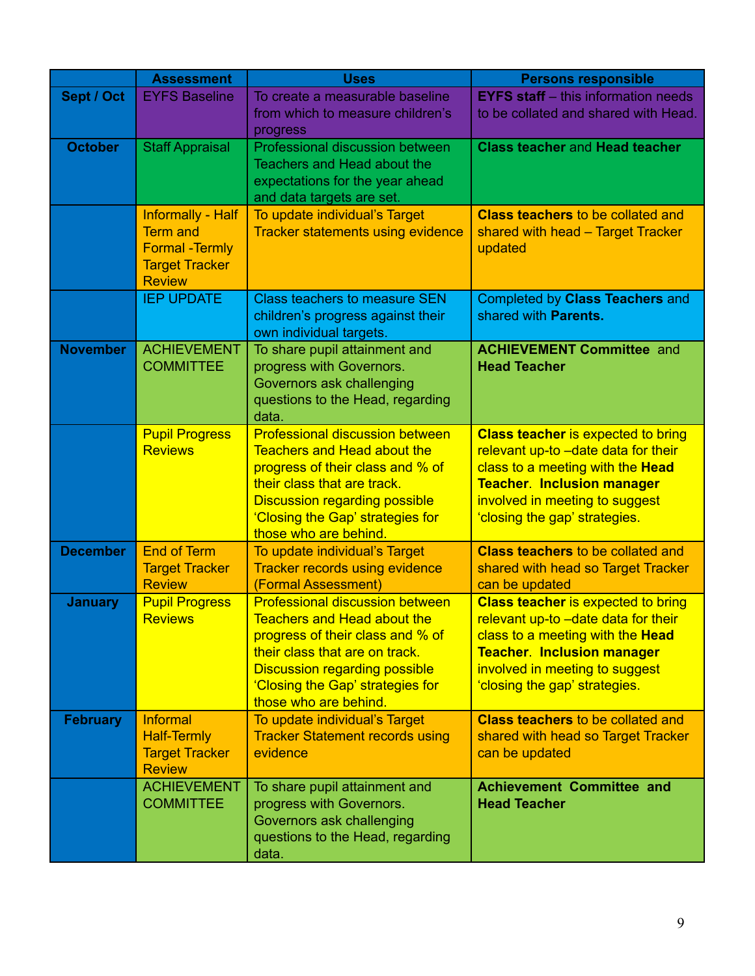|                 | <b>Assessment</b>                       | <b>Uses</b>                                                                  | <b>Persons responsible</b>                                                       |
|-----------------|-----------------------------------------|------------------------------------------------------------------------------|----------------------------------------------------------------------------------|
| Sept / Oct      | <b>EYFS Baseline</b>                    | To create a measurable baseline                                              | <b>EYFS staff</b> – this information needs                                       |
|                 |                                         | from which to measure children's<br>progress                                 | to be collated and shared with Head.                                             |
| <b>October</b>  | <b>Staff Appraisal</b>                  | Professional discussion between                                              | <b>Class teacher and Head teacher</b>                                            |
|                 |                                         | Teachers and Head about the                                                  |                                                                                  |
|                 |                                         | expectations for the year ahead<br>and data targets are set.                 |                                                                                  |
|                 | <b>Informally - Half</b>                | To update individual's Target                                                | <b>Class teachers to be collated and</b>                                         |
|                 | <b>Term and</b>                         | <b>Tracker statements using evidence</b>                                     | shared with head - Target Tracker                                                |
|                 | <b>Formal - Termly</b>                  |                                                                              | updated                                                                          |
|                 | <b>Target Tracker</b><br><b>Review</b>  |                                                                              |                                                                                  |
|                 | <b>IEP UPDATE</b>                       | <b>Class teachers to measure SEN</b>                                         | Completed by Class Teachers and                                                  |
|                 |                                         | children's progress against their                                            | shared with <b>Parents.</b>                                                      |
|                 |                                         | own individual targets.                                                      |                                                                                  |
| <b>November</b> | <b>ACHIEVEMENT</b><br><b>COMMITTEE</b>  | To share pupil attainment and<br>progress with Governors.                    | <b>ACHIEVEMENT Committee and</b><br><b>Head Teacher</b>                          |
|                 |                                         | Governors ask challenging                                                    |                                                                                  |
|                 |                                         | questions to the Head, regarding                                             |                                                                                  |
|                 |                                         | data.                                                                        |                                                                                  |
|                 | <b>Pupil Progress</b><br><b>Reviews</b> | <b>Professional discussion between</b><br><b>Teachers and Head about the</b> | <b>Class teacher is expected to bring</b><br>relevant up-to -date data for their |
|                 |                                         | progress of their class and % of                                             | class to a meeting with the Head                                                 |
|                 |                                         | their class that are track.                                                  | <b>Teacher. Inclusion manager</b>                                                |
|                 |                                         | <b>Discussion regarding possible</b>                                         | involved in meeting to suggest                                                   |
|                 |                                         | 'Closing the Gap' strategies for<br>those who are behind.                    | 'closing the gap' strategies.                                                    |
| <b>December</b> | <b>End of Term</b>                      | To update individual's Target                                                | <b>Class teachers to be collated and</b>                                         |
|                 | <b>Target Tracker</b>                   | <b>Tracker records using evidence</b>                                        | shared with head so Target Tracker                                               |
|                 | <b>Review</b>                           | (Formal Assessment)                                                          | can be updated                                                                   |
| <b>January</b>  | <b>Pupil Progress</b><br><b>Reviews</b> | <b>Professional discussion between</b><br><b>Teachers and Head about the</b> | <b>Class teacher is expected to bring</b><br>relevant up-to -date data for their |
|                 |                                         | progress of their class and % of                                             | class to a meeting with the Head                                                 |
|                 |                                         | their class that are on track.                                               | <b>Teacher. Inclusion manager</b>                                                |
|                 |                                         | <b>Discussion regarding possible</b>                                         | involved in meeting to suggest                                                   |
|                 |                                         | 'Closing the Gap' strategies for<br>those who are behind.                    | 'closing the gap' strategies.                                                    |
| <b>February</b> | Informal                                | To update individual's Target                                                | <b>Class teachers to be collated and</b>                                         |
|                 | <b>Half-Termly</b>                      | <b>Tracker Statement records using</b>                                       | shared with head so Target Tracker                                               |
|                 | <b>Target Tracker</b><br><b>Review</b>  | evidence                                                                     | can be updated                                                                   |
|                 | <b>ACHIEVEMENT</b>                      | To share pupil attainment and                                                | <b>Achievement Committee and</b>                                                 |
|                 | <b>COMMITTEE</b>                        | progress with Governors.                                                     | <b>Head Teacher</b>                                                              |
|                 |                                         | Governors ask challenging<br>questions to the Head, regarding                |                                                                                  |
|                 |                                         | data.                                                                        |                                                                                  |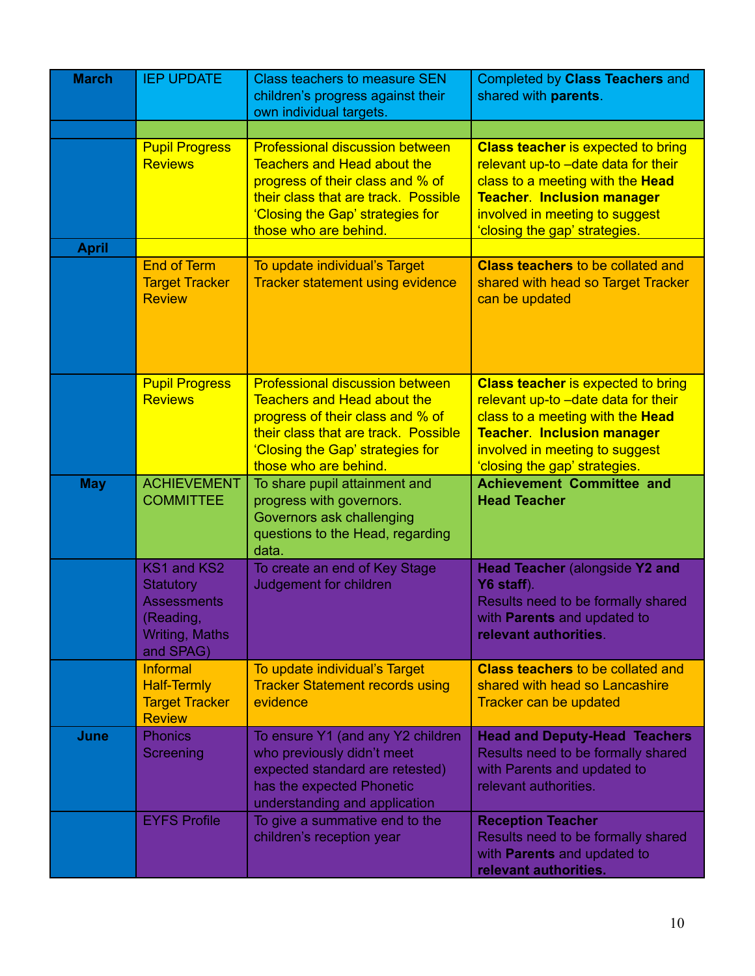| <b>March</b> | <b>IEP UPDATE</b>                                                                                 | <b>Class teachers to measure SEN</b><br>children's progress against their<br>own individual targets.                                                                                                                  | <b>Completed by Class Teachers and</b><br>shared with parents.                                                                                                                                                               |
|--------------|---------------------------------------------------------------------------------------------------|-----------------------------------------------------------------------------------------------------------------------------------------------------------------------------------------------------------------------|------------------------------------------------------------------------------------------------------------------------------------------------------------------------------------------------------------------------------|
|              |                                                                                                   |                                                                                                                                                                                                                       |                                                                                                                                                                                                                              |
|              | <b>Pupil Progress</b><br><b>Reviews</b>                                                           | <b>Professional discussion between</b><br><b>Teachers and Head about the</b><br>progress of their class and % of<br>their class that are track. Possible<br>'Closing the Gap' strategies for<br>those who are behind. | <b>Class teacher is expected to bring</b><br>relevant up-to -date data for their<br>class to a meeting with the Head<br><b>Teacher. Inclusion manager</b><br>involved in meeting to suggest<br>'closing the gap' strategies. |
| <b>April</b> |                                                                                                   |                                                                                                                                                                                                                       |                                                                                                                                                                                                                              |
|              | <b>End of Term</b><br><b>Target Tracker</b><br><b>Review</b>                                      | To update individual's Target<br><b>Tracker statement using evidence</b>                                                                                                                                              | <b>Class teachers to be collated and</b><br>shared with head so Target Tracker<br>can be updated                                                                                                                             |
|              | <b>Pupil Progress</b><br><b>Reviews</b>                                                           | <b>Professional discussion between</b><br><b>Teachers and Head about the</b><br>progress of their class and % of<br>their class that are track. Possible<br>'Closing the Gap' strategies for<br>those who are behind. | <b>Class teacher is expected to bring</b><br>relevant up-to -date data for their<br>class to a meeting with the Head<br><b>Teacher. Inclusion manager</b><br>involved in meeting to suggest<br>'closing the gap' strategies. |
| <b>May</b>   | <b>ACHIEVEMENT</b><br><b>COMMITTEE</b>                                                            | To share pupil attainment and<br>progress with governors.<br>Governors ask challenging<br>questions to the Head, regarding<br>data.                                                                                   | <b>Achievement Committee and</b><br><b>Head Teacher</b>                                                                                                                                                                      |
|              | KS1 and KS2<br>Statutory<br><b>Assessments</b><br>(Reading,<br><b>Writing, Maths</b><br>and SPAG) | To create an end of Key Stage<br>Judgement for children                                                                                                                                                               | <b>Head Teacher (alongside Y2 and</b><br>Y6 staff).<br>Results need to be formally shared<br>with Parents and updated to<br>relevant authorities.                                                                            |
|              | Informal<br><b>Half-Termly</b><br><b>Target Tracker</b><br><b>Review</b>                          | To update individual's Target<br><b>Tracker Statement records using</b><br>evidence                                                                                                                                   | <b>Class teachers to be collated and</b><br>shared with head so Lancashire<br>Tracker can be updated                                                                                                                         |
| June         | <b>Phonics</b><br>Screening                                                                       | To ensure Y1 (and any Y2 children<br>who previously didn't meet<br>expected standard are retested)<br>has the expected Phonetic<br>understanding and application                                                      | <b>Head and Deputy-Head Teachers</b><br>Results need to be formally shared<br>with Parents and updated to<br>relevant authorities.                                                                                           |
|              | <b>EYFS Profile</b>                                                                               | To give a summative end to the<br>children's reception year                                                                                                                                                           | <b>Reception Teacher</b><br>Results need to be formally shared<br>with Parents and updated to<br>relevant authorities.                                                                                                       |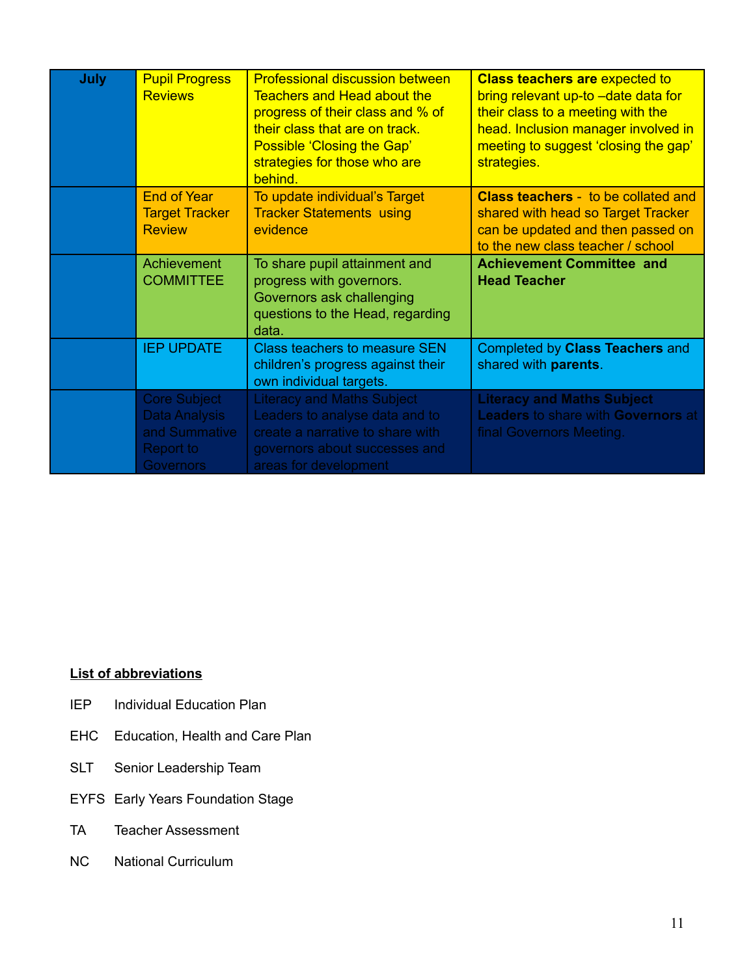| July | <b>Pupil Progress</b><br><b>Reviews</b>                                                | <b>Professional discussion between</b><br><b>Teachers and Head about the</b><br>progress of their class and % of<br>their class that are on track.<br>Possible 'Closing the Gap'<br>strategies for those who are<br>behind. | <b>Class teachers are expected to</b><br>bring relevant up-to -date data for<br>their class to a meeting with the<br>head. Inclusion manager involved in<br>meeting to suggest 'closing the gap'<br>strategies. |
|------|----------------------------------------------------------------------------------------|-----------------------------------------------------------------------------------------------------------------------------------------------------------------------------------------------------------------------------|-----------------------------------------------------------------------------------------------------------------------------------------------------------------------------------------------------------------|
|      | <b>End of Year</b><br><b>Target Tracker</b><br><b>Review</b>                           | To update individual's Target<br><b>Tracker Statements using</b><br>evidence                                                                                                                                                | <b>Class teachers - to be collated and</b><br>shared with head so Target Tracker<br>can be updated and then passed on<br>to the new class teacher / school                                                      |
|      | Achievement<br><b>COMMITTEE</b>                                                        | To share pupil attainment and<br>progress with governors.<br>Governors ask challenging<br>questions to the Head, regarding<br>data.                                                                                         | <b>Achievement Committee and</b><br><b>Head Teacher</b>                                                                                                                                                         |
|      | <b>IEP UPDATE</b>                                                                      | <b>Class teachers to measure SEN</b><br>children's progress against their<br>own individual targets.                                                                                                                        | Completed by Class Teachers and<br>shared with parents.                                                                                                                                                         |
|      | <b>Core Subject</b><br>Data Analysis<br>and Summative<br>Report to<br><b>Governors</b> | <b>Literacy and Maths Subject</b><br>Leaders to analyse data and to<br>create a narrative to share with<br>governors about successes and<br>areas for development                                                           | <b>Literacy and Maths Subject</b><br><b>Leaders to share with Governors at</b><br>final Governors Meeting.                                                                                                      |

# **List of abbreviations**

- IEP Individual Education Plan
- EHC Education, Health and Care Plan
- SLT Senior Leadership Team
- EYFS Early Years Foundation Stage
- TA Teacher Assessment
- NC National Curriculum